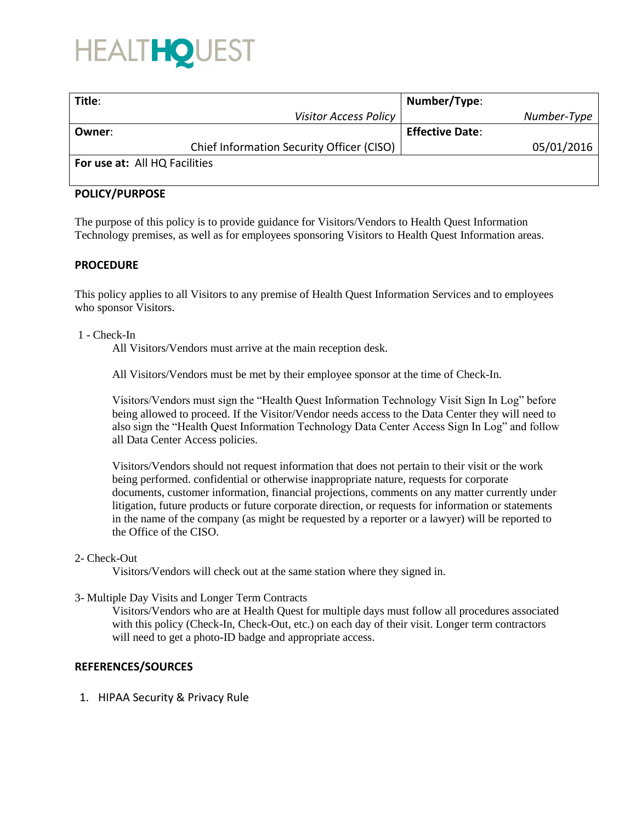# HEALTHOL

| Title:                                    | Number/Type:           |
|-------------------------------------------|------------------------|
| <b>Visitor Access Policy</b>              | Number-Type            |
| Owner:                                    | <b>Effective Date:</b> |
| Chief Information Security Officer (CISO) | 05/01/2016             |
| For use at: All HQ Facilities             |                        |

# **POLICY/PURPOSE**

The purpose of this policy is to provide guidance for Visitors/Vendors to Health Quest Information Technology premises, as well as for employees sponsoring Visitors to Health Quest Information areas.

# **PROCEDURE**

This policy applies to all Visitors to any premise of Health Quest Information Services and to employees who sponsor Visitors.

1 - Check-In

All Visitors/Vendors must arrive at the main reception desk.

All Visitors/Vendors must be met by their employee sponsor at the time of Check-In.

Visitors/Vendors must sign the "Health Quest Information Technology Visit Sign In Log" before being allowed to proceed. If the Visitor/Vendor needs access to the Data Center they will need to also sign the "Health Quest Information Technology Data Center Access Sign In Log" and follow all Data Center Access policies.

Visitors/Vendors should not request information that does not pertain to their visit or the work being performed. confidential or otherwise inappropriate nature, requests for corporate documents, customer information, financial projections, comments on any matter currently under litigation, future products or future corporate direction, or requests for information or statements in the name of the company (as might be requested by a reporter or a lawyer) will be reported to the Office of the CISO.

#### 2- Check-Out

Visitors/Vendors will check out at the same station where they signed in.

3- Multiple Day Visits and Longer Term Contracts

Visitors/Vendors who are at Health Quest for multiple days must follow all procedures associated with this policy (Check-In, Check-Out, etc.) on each day of their visit. Longer term contractors will need to get a photo-ID badge and appropriate access.

# **REFERENCES/SOURCES**

1. HIPAA Security & Privacy Rule